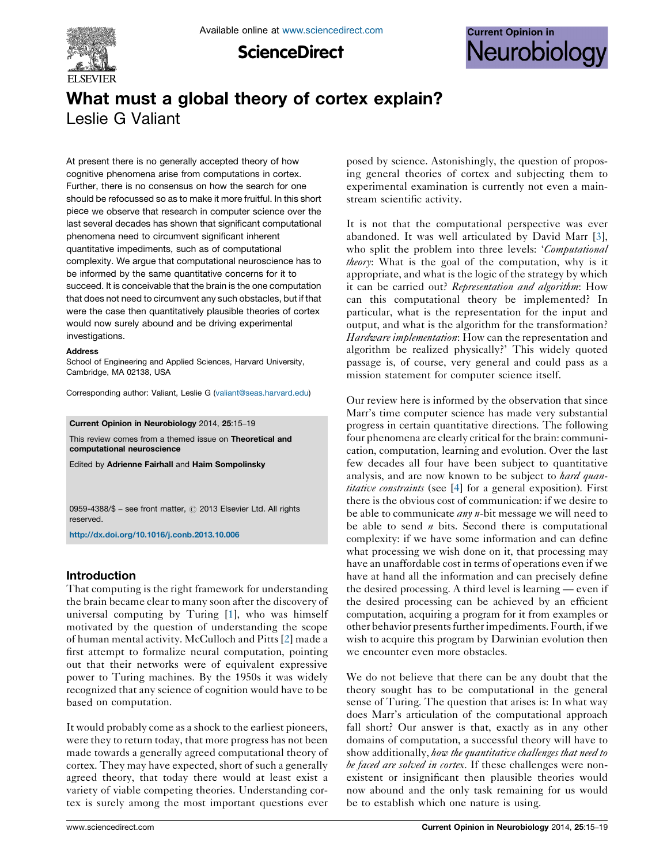

**ScienceDirect** 



# What must a global theory of cortex explain? Leslie G Valiant

At present there is no generally accepted theory of how cognitive phenomena arise from computations in cortex. Further, there is no consensus on how the search for one should be refocussed so as to make it more fruitful. In this short piece we observe that research in computer science over the last several decades has shown that significant computational phenomena need to circumvent significant inherent quantitative impediments, such as of computational complexity. We argue that computational neuroscience has to be informed by the same quantitative concerns for it to succeed. It is conceivable that the brain is the one computation that does not need to circumvent any such obstacles, but if that were the case then quantitatively plausible theories of cortex would now surely abound and be driving experimental investigations.

#### Address

School of Engineering and Applied Sciences, Harvard University, Cambridge, MA 02138, USA

Corresponding author: Valiant, Leslie G [\(valiant@seas.harvard.edu\)](valiant@seas.harvard.edu)

Current Opinion in Neurobiology 2014, 25:15–19

This review comes from a themed issue on Theoretical and computational neuroscience

Edited by Adrienne Fairhall and Haim Sompolinsky

0959-4388/\$ - see front matter, © 2013 Elsevier Ltd. All rights reserved.

<http://dx.doi.org/10.1016/j.conb.2013.10.006>

## Introduction

That computing is the right framework for understanding the brain became clear to many soon after the discovery of universal computing by Turing [[1\]](#page-3-0), who was himself motivated by the question of understanding the scope of human mental activity. McCulloch and Pitts [\[2](#page-3-0)] made a first attempt to formalize neural computation, pointing out that their networks were of equivalent expressive power to Turing machines. By the 1950s it was widely recognized that any science of cognition would have to be based on computation.

It would probably come as a shock to the earliest pioneers, were they to return today, that more progress has not been made towards a generally agreed computational theory of cortex. They may have expected, short of such a generally agreed theory, that today there would at least exist a variety of viable competing theories. Understanding cortex is surely among the most important questions ever posed by science. Astonishingly, the question of proposing general theories of cortex and subjecting them to experimental examination is currently not even a mainstream scientific activity.

It is not that the computational perspective was ever abandoned. It was well articulated by David Marr [[3\]](#page-3-0), who split the problem into three levels: 'Computational' *theory*: What is the goal of the computation, why is it appropriate, and what is the logic of the strategy by which it can be carried out? Representation and algorithm: How can this computational theory be implemented? In particular, what is the representation for the input and output, and what is the algorithm for the transformation? Hardware implementation: How can the representation and algorithm be realized physically?' This widely quoted passage is, of course, very general and could pass as a mission statement for computer science itself.

Our review here is informed by the observation that since Marr's time computer science has made very substantial progress in certain quantitative directions. The following four phenomena are clearly critical for the brain: communication, computation, learning and evolution. Over the last few decades all four have been subject to quantitative analysis, and are now known to be subject to *hard quan*titative constraints (see [\[4](#page-3-0)] for a general exposition). First there is the obvious cost of communication: if we desire to be able to communicate *any n*-bit message we will need to be able to send  $n$  bits. Second there is computational complexity: if we have some information and can define what processing we wish done on it, that processing may have an unaffordable cost in terms of operations even if we have at hand all the information and can precisely define the desired processing. A third level is learning — even if the desired processing can be achieved by an efficient computation, acquiring a program for it from examples or other behavior presentsfurtherimpediments.Fourth, if we wish to acquire this program by Darwinian evolution then we encounter even more obstacles.

We do not believe that there can be any doubt that the theory sought has to be computational in the general sense of Turing. The question that arises is: In what way does Marr's articulation of the computational approach fall short? Our answer is that, exactly as in any other domains of computation, a successful theory will have to show additionally, how the quantitative challenges that need to be faced are solved in cortex. If these challenges were nonexistent or insignificant then plausible theories would now abound and the only task remaining for us would be to establish which one nature is using.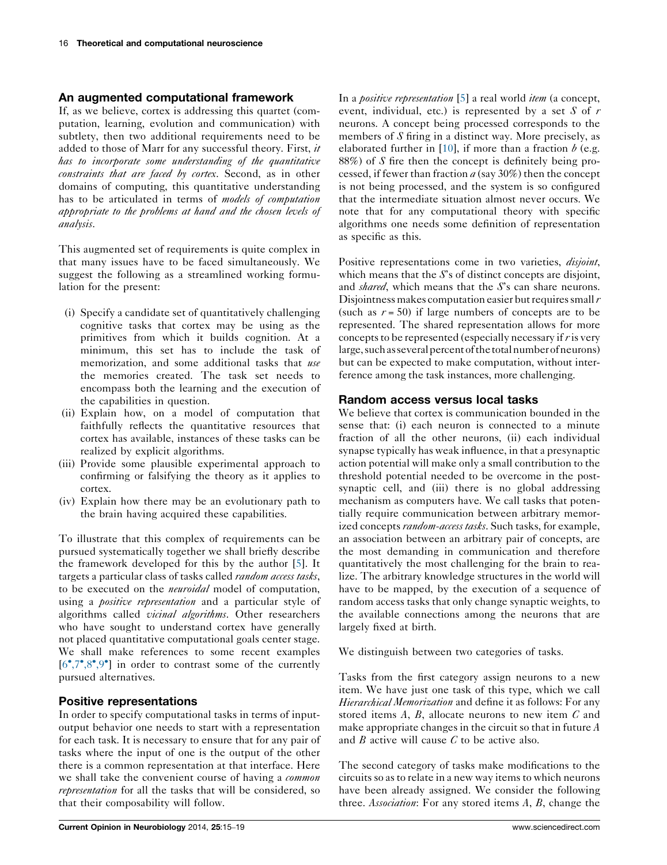## An augmented computational framework

If, as we believe, cortex is addressing this quartet (computation, learning, evolution and communication) with subtlety, then two additional requirements need to be added to those of Marr for any successful theory. First, it has to incorporate some understanding of the quantitative constraints that are faced by cortex. Second, as in other domains of computing, this quantitative understanding has to be articulated in terms of *models of computation* appropriate to the problems at hand and the chosen levels of analysis.

This augmented set of requirements is quite complex in that many issues have to be faced simultaneously. We suggest the following as a streamlined working formulation for the present:

- (i) Specify a candidate set of quantitatively challenging cognitive tasks that cortex may be using as the primitives from which it builds cognition. At a minimum, this set has to include the task of memorization, and some additional tasks that use the memories created. The task set needs to encompass both the learning and the execution of the capabilities in question.
- (ii) Explain how, on a model of computation that faithfully reflects the quantitative resources that cortex has available, instances of these tasks can be realized by explicit algorithms.
- (iii) Provide some plausible experimental approach to confirming or falsifying the theory as it applies to cortex.
- (iv) Explain how there may be an evolutionary path to the brain having acquired these capabilities.

To illustrate that this complex of requirements can be pursued systematically together we shall briefly describe the framework developed for this by the author [[5](#page-3-0)]. It targets a particular class of tasks called random access tasks, to be executed on the neuroidal model of computation, using a *positive representation* and a particular style of algorithms called *vicinal algorithms*. Other researchers who have sought to understand cortex have generally not placed quantitative computational goals center stage. We shall make references to some recent examples  $[6^\bullet,7^\bullet,8^\bullet,9^\bullet]$  $[6^\bullet,7^\bullet,8^\bullet,9^\bullet]$  $[6^\bullet,7^\bullet,8^\bullet,9^\bullet]$  $[6^\bullet,7^\bullet,8^\bullet,9^\bullet]$  $[6^\bullet,7^\bullet,8^\bullet,9^\bullet]$  $[6^\bullet,7^\bullet,8^\bullet,9^\bullet]$  $[6^\bullet,7^\bullet,8^\bullet,9^\bullet]$  $[6^\bullet,7^\bullet,8^\bullet,9^\bullet]$  in order to contrast some of the currently pursued alternatives.

# Positive representations

In order to specify computational tasks in terms of inputoutput behavior one needs to start with a representation for each task. It is necessary to ensure that for any pair of tasks where the input of one is the output of the other there is a common representation at that interface. Here we shall take the convenient course of having a *common* representation for all the tasks that will be considered, so that their composability will follow.

In a *positive representation* [[5\]](#page-3-0) a real world *item* (a concept, event, individual, etc.) is represented by a set  $S$  of  $r$ neurons. A concept being processed corresponds to the members of S firing in a distinct way. More precisely, as elaborated further in [\[10](#page-4-0)], if more than a fraction  $b$  (e.g. 88%) of S fire then the concept is definitely being processed, if fewer than fraction  $a$  (say 30%) then the concept is not being processed, and the system is so configured that the intermediate situation almost never occurs. We note that for any computational theory with specific algorithms one needs some definition of representation as specific as this.

Positive representations come in two varieties, *disjoint*, which means that the  $S$ 's of distinct concepts are disjoint, and *shared*, which means that the S's can share neurons. Disjointness makes computation easier but requires small  $r$ (such as  $r = 50$ ) if large numbers of concepts are to be represented. The shared representation allows for more concepts to be represented (especially necessary if  $r$  is very large, such as several percent of the total number of neurons) but can be expected to make computation, without interference among the task instances, more challenging.

## Random access versus local tasks

We believe that cortex is communication bounded in the sense that: (i) each neuron is connected to a minute fraction of all the other neurons, (ii) each individual synapse typically has weak influence, in that a presynaptic action potential will make only a small contribution to the threshold potential needed to be overcome in the postsynaptic cell, and (iii) there is no global addressing mechanism as computers have. We call tasks that potentially require communication between arbitrary memorized concepts random-access tasks. Such tasks, for example, an association between an arbitrary pair of concepts, are the most demanding in communication and therefore quantitatively the most challenging for the brain to realize. The arbitrary knowledge structures in the world will have to be mapped, by the execution of a sequence of random access tasks that only change synaptic weights, to the available connections among the neurons that are largely fixed at birth.

We distinguish between two categories of tasks.

Tasks from the first category assign neurons to a new item. We have just one task of this type, which we call Hierarchical Memorization and define it as follows: For any stored items A, B, allocate neurons to new item C and make appropriate changes in the circuit so that in future A and  $B$  active will cause  $C$  to be active also.

The second category of tasks make modifications to the circuits so asto relate in a new way items to which neurons have been already assigned. We consider the following three. Association: For any stored items A, B, change the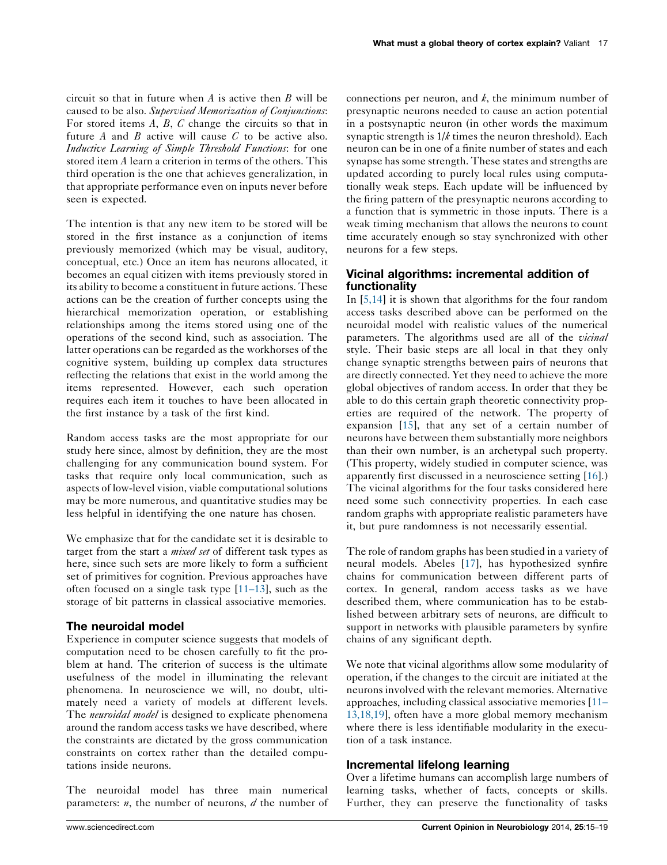circuit so that in future when  $A$  is active then  $B$  will be caused to be also. Supervised Memorization of Conjunctions: For stored items  $A, B, C$  change the circuits so that in future A and B active will cause  $C$  to be active also. Inductive Learning of Simple Threshold Functions: for one stored item A learn a criterion in terms of the others. This third operation is the one that achieves generalization, in that appropriate performance even on inputs never before seen is expected.

The intention is that any new item to be stored will be stored in the first instance as a conjunction of items previously memorized (which may be visual, auditory, conceptual, etc.) Once an item has neurons allocated, it becomes an equal citizen with items previously stored in its ability to become a constituent in future actions. These actions can be the creation of further concepts using the hierarchical memorization operation, or establishing relationships among the items stored using one of the operations of the second kind, such as association. The latter operations can be regarded as the workhorses of the cognitive system, building up complex data structures reflecting the relations that exist in the world among the items represented. However, each such operation requires each item it touches to have been allocated in the first instance by a task of the first kind.

Random access tasks are the most appropriate for our study here since, almost by definition, they are the most challenging for any communication bound system. For tasks that require only local communication, such as aspects of low-level vision, viable computational solutions may be more numerous, and quantitative studies may be less helpful in identifying the one nature has chosen.

We emphasize that for the candidate set it is desirable to target from the start a *mixed set* of different task types as here, since such sets are more likely to form a sufficient set of primitives for cognition. Previous approaches have often focused on a single task type [11–[13\]](#page-4-0), such as the storage of bit patterns in classical associative memories.

# The neuroidal model

Experience in computer science suggests that models of computation need to be chosen carefully to fit the problem at hand. The criterion of success is the ultimate usefulness of the model in illuminating the relevant phenomena. In neuroscience we will, no doubt, ultimately need a variety of models at different levels. The *neuroidal model* is designed to explicate phenomena around the random access tasks we have described, where the constraints are dictated by the gross communication constraints on cortex rather than the detailed computations inside neurons.

The neuroidal model has three main numerical parameters:  $n$ , the number of neurons,  $d$  the number of connections per neuron, and  $k$ , the minimum number of presynaptic neurons needed to cause an action potential in a postsynaptic neuron (in other words the maximum synaptic strength is  $1/k$  times the neuron threshold). Each neuron can be in one of a finite number of states and each synapse has some strength. These states and strengths are updated according to purely local rules using computationally weak steps. Each update will be influenced by the firing pattern of the presynaptic neurons according to a function that is symmetric in those inputs. There is a weak timing mechanism that allows the neurons to count time accurately enough so stay synchronized with other neurons for a few steps.

# Vicinal algorithms: incremental addition of functionality

In [[5,14](#page-3-0)] it is shown that algorithms for the four random access tasks described above can be performed on the neuroidal model with realistic values of the numerical parameters. The algorithms used are all of the *vicinal* style. Their basic steps are all local in that they only change synaptic strengths between pairs of neurons that are directly connected. Yet they need to achieve the more global objectives of random access. In order that they be able to do this certain graph theoretic connectivity properties are required of the network. The property of expansion [[15\]](#page-4-0), that any set of a certain number of neurons have between them substantially more neighbors than their own number, is an archetypal such property. (This property, widely studied in computer science, was apparently first discussed in a neuroscience setting [\[16](#page-4-0)].) The vicinal algorithms for the four tasks considered here need some such connectivity properties. In each case random graphs with appropriate realistic parameters have it, but pure randomness is not necessarily essential.

The role of random graphs has been studied in a variety of neural models. Abeles [[17\]](#page-4-0), has hypothesized synfire chains for communication between different parts of cortex. In general, random access tasks as we have described them, where communication has to be established between arbitrary sets of neurons, are difficult to support in networks with plausible parameters by synfire chains of any significant depth.

We note that vicinal algorithms allow some modularity of operation, if the changes to the circuit are initiated at the neurons involved with the relevant memories. Alternative approaches, including classical associative memories [\[11](#page-4-0)– [13,18,19](#page-4-0)], often have a more global memory mechanism where there is less identifiable modularity in the execution of a task instance.

# Incremental lifelong learning

Over a lifetime humans can accomplish large numbers of learning tasks, whether of facts, concepts or skills. Further, they can preserve the functionality of tasks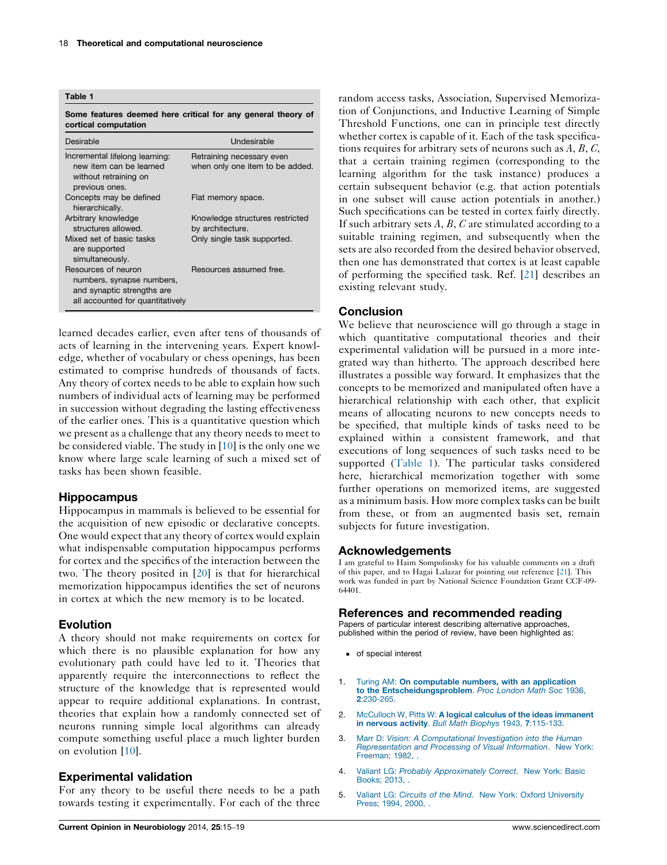#### <span id="page-3-0"></span>Table 1

Some features deemed here critical for any general theory of cortical computation

| Desirable                                                                                                          | <b>Undesirable</b>                                           |
|--------------------------------------------------------------------------------------------------------------------|--------------------------------------------------------------|
| Incremental lifelong learning:<br>new item can be learned<br>without retraining on<br>previous ones.               | Retraining necessary even<br>when only one item to be added. |
| Concepts may be defined<br>hierarchically.                                                                         | Flat memory space.                                           |
| Arbitrary knowledge<br>structures allowed.                                                                         | Knowledge structures restricted<br>by architecture.          |
| Mixed set of basic tasks<br>are supported<br>simultaneously.                                                       | Only single task supported.                                  |
| Resources of neuron<br>numbers, synapse numbers,<br>and synaptic strengths are<br>all accounted for quantitatively | Resources assumed free.                                      |

learned decades earlier, even after tens of thousands of acts of learning in the intervening years. Expert knowledge, whether of vocabulary or chess openings, has been estimated to comprise hundreds of thousands of facts. Any theory of cortex needs to be able to explain how such numbers of individual acts of learning may be performed in succession without degrading the lasting effectiveness of the earlier ones. This is a quantitative question which we present as a challenge that any theory needs to meet to be considered viable. The study in [[10\]](#page-4-0) is the only one we know where large scale learning of such a mixed set of tasks has been shown feasible.

### Hippocampus

Hippocampus in mammals is believed to be essential for the acquisition of new episodic or declarative concepts. One would expect that any theory of cortex would explain what indispensable computation hippocampus performs for cortex and the specifics of the interaction between the two. The theory posited in [\[20](#page-4-0)] is that for hierarchical memorization hippocampus identifies the set of neurons in cortex at which the new memory is to be located.

### Evolution

A theory should not make requirements on cortex for which there is no plausible explanation for how any evolutionary path could have led to it. Theories that apparently require the interconnections to reflect the structure of the knowledge that is represented would appear to require additional explanations. In contrast, theories that explain how a randomly connected set of neurons running simple local algorithms can already compute something useful place a much lighter burden on evolution [\[10](#page-4-0)].

### Experimental validation

For any theory to be useful there needs to be a path towards testing it experimentally. For each of the three

random access tasks, Association, Supervised Memorization of Conjunctions, and Inductive Learning of Simple Threshold Functions, one can in principle test directly whether cortex is capable of it. Each of the task specifications requires for arbitrary sets of neurons such as  $A, B, C$ , that a certain training regimen (corresponding to the learning algorithm for the task instance) produces a certain subsequent behavior (e.g. that action potentials in one subset will cause action potentials in another.) Such specifications can be tested in cortex fairly directly. If such arbitrary sets  $A, B, C$  are stimulated according to a suitable training regimen, and subsequently when the sets are also recorded from the desired behavior observed, then one has demonstrated that cortex is at least capable of performing the specified task. Ref. [\[21](#page-4-0)] describes an existing relevant study.

### **Conclusion**

We believe that neuroscience will go through a stage in which quantitative computational theories and their experimental validation will be pursued in a more integrated way than hitherto. The approach described here illustrates a possible way forward. It emphasizes that the concepts to be memorized and manipulated often have a hierarchical relationship with each other, that explicit means of allocating neurons to new concepts needs to be specified, that multiple kinds of tasks need to be explained within a consistent framework, and that executions of long sequences of such tasks need to be supported (Table 1). The particular tasks considered here, hierarchical memorization together with some further operations on memorized items, are suggested as a minimum basis. How more complex tasks can be built from these, or from an augmented basis set, remain subjects for future investigation.

### Acknowledgements

I am grateful to Haim Sompolinsky for his valuable comments on a draft of this paper, and to Hagai Lalazar for pointing out reference [\[21\]](#page-4-0). This work was funded in part by National Science Foundation Grant CCF-09- 64401.

### References and recommended reading

Papers of particular interest describing alternative approaches, published within the period of review, have been highlighted as:

- of special interest
- 1. Turing AM: On [computable](http://refhub.elsevier.com/S0959-4388(13)00205-5/sbref0005) numbers, with an application to the [Entscheidungsproblem](http://refhub.elsevier.com/S0959-4388(13)00205-5/sbref0005). Proc London Math Soc 1936, 2[:230-265.](http://refhub.elsevier.com/S0959-4388(13)00205-5/sbref0005)
- 2. [McCulloch](http://refhub.elsevier.com/S0959-4388(13)00205-5/sbref0010) W, Pitts W: A logical calculus of the ideas immanent in nervous activity. Bull Math Biophys 1943, 7[:115-133.](http://refhub.elsevier.com/S0959-4388(13)00205-5/sbref0010)
- 3. Marr D: Vision: A [Computational](http://refhub.elsevier.com/S0959-4388(13)00205-5/sbref0015) Investigation into the Human [Representation](http://refhub.elsevier.com/S0959-4388(13)00205-5/sbref0015) and Processing of Visual Information. New York: [Freeman;](http://refhub.elsevier.com/S0959-4388(13)00205-5/sbref0015) 1982, .
- 4. Valiant LG: Probably [Approximately](http://refhub.elsevier.com/S0959-4388(13)00205-5/sbref0020) Correct. New York: Basic [Books;](http://refhub.elsevier.com/S0959-4388(13)00205-5/sbref0020) 2013, .
- 5. Valiant LG: Circuits of the Mind. New York: Oxford [University](http://refhub.elsevier.com/S0959-4388(13)00205-5/sbref0025) [Press;](http://refhub.elsevier.com/S0959-4388(13)00205-5/sbref0025) 1994, 2000, .